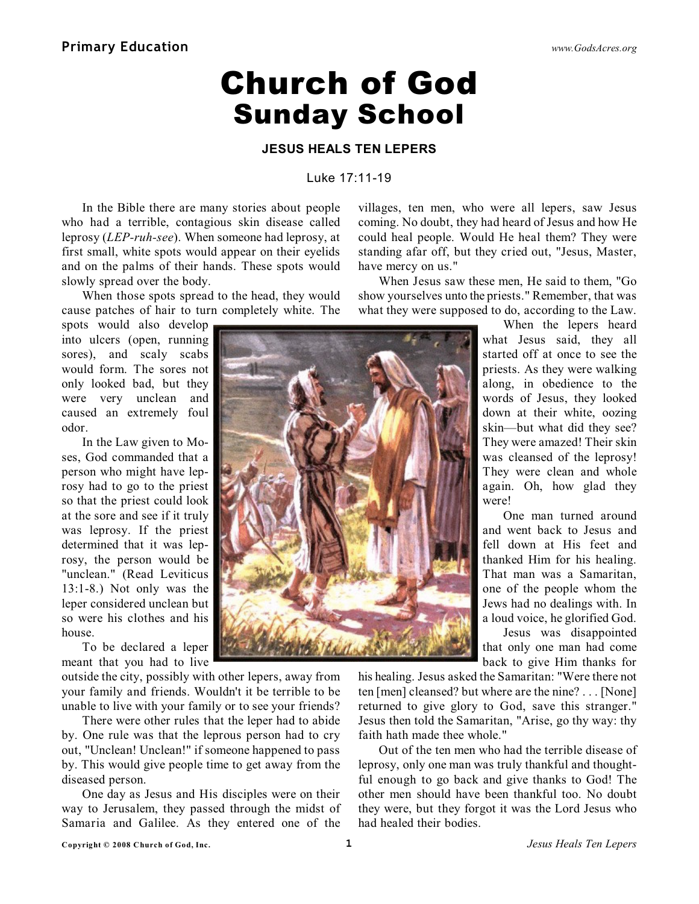## Church of God Sunday School

#### **JESUS HEALS TEN LEPERS**

#### Luke 17:11-19

In the Bible there are many stories about people who had a terrible, contagious skin disease called leprosy (*LEP-ruh-see*). When someone had leprosy, at first small, white spots would appear on their eyelids and on the palms of their hands. These spots would slowly spread over the body.

When those spots spread to the head, they would cause patches of hair to turn completely white. The

spots would also develop into ulcers (open, running sores), and scaly scabs would form. The sores not only looked bad, but they were very unclean and caused an extremely foul odor.

In the Law given to Moses, God commanded that a person who might have leprosy had to go to the priest so that the priest could look at the sore and see if it truly was leprosy. If the priest determined that it was leprosy, the person would be "unclean." (Read Leviticus 13:1-8.) Not only was the leper considered unclean but so were his clothes and his house.

To be declared a leper meant that you had to live

outside the city, possibly with other lepers, away from your family and friends. Wouldn't it be terrible to be unable to live with your family or to see your friends?

There were other rules that the leper had to abide by. One rule was that the leprous person had to cry out, "Unclean! Unclean!" if someone happened to pass by. This would give people time to get away from the diseased person.

One day as Jesus and His disciples were on their way to Jerusalem, they passed through the midst of Samaria and Galilee. As they entered one of the

villages, ten men, who were all lepers, saw Jesus coming. No doubt, they had heard of Jesus and how He could heal people. Would He heal them? They were standing afar off, but they cried out, "Jesus, Master, have mercy on us."

When Jesus saw these men, He said to them, "Go show yourselves unto the priests." Remember, that was what they were supposed to do, according to the Law.

> When the lepers heard what Jesus said, they all started off at once to see the priests. As they were walking along, in obedience to the words of Jesus, they looked down at their white, oozing skin—but what did they see? They were amazed! Their skin was cleansed of the leprosy! They were clean and whole again. Oh, how glad they were!

One man turned around and went back to Jesus and fell down at His feet and thanked Him for his healing. That man was a Samaritan, one of the people whom the Jews had no dealings with. In a loud voice, he glorified God.

Jesus was disappointed that only one man had come back to give Him thanks for

his healing. Jesus asked the Samaritan: "Were there not ten [men] cleansed? but where are the nine? . . . [None] returned to give glory to God, save this stranger." Jesus then told the Samaritan, "Arise, go thy way: thy faith hath made thee whole."

Out of the ten men who had the terrible disease of leprosy, only one man was truly thankful and thoughtful enough to go back and give thanks to God! The other men should have been thankful too. No doubt they were, but they forgot it was the Lord Jesus who had healed their bodies.

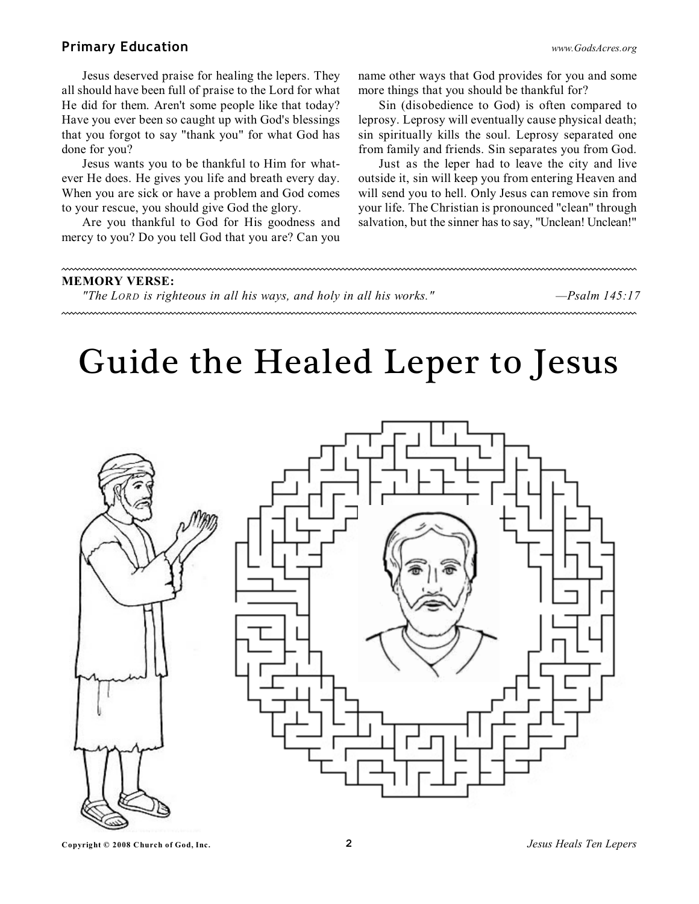### **Primary Education** *www.GodsAcres.org*

Jesus deserved praise for healing the lepers. They all should have been full of praise to the Lord for what He did for them. Aren't some people like that today? Have you ever been so caught up with God's blessings that you forgot to say "thank you" for what God has done for you?

Jesus wants you to be thankful to Him for whatever He does. He gives you life and breath every day. When you are sick or have a problem and God comes to your rescue, you should give God the glory.

Are you thankful to God for His goodness and mercy to you? Do you tell God that you are? Can you name other ways that God provides for you and some more things that you should be thankful for?

Sin (disobedience to God) is often compared to leprosy. Leprosy will eventually cause physical death; sin spiritually kills the soul. Leprosy separated one from family and friends. Sin separates you from God.

Just as the leper had to leave the city and live outside it, sin will keep you from entering Heaven and will send you to hell. Only Jesus can remove sin from your life. The Christian is pronounced "clean" through salvation, but the sinner has to say, "Unclean! Unclean!"

#### **MEMORY VERSE:**

*"The LORD is righteous in all his ways, and holy in all his works." —Psalm 145:17*

# Guide the Healed Leper to Jesus



**Copyright © 2008 Church of God, Inc. 2** *Jesus Heals Ten Lepers*